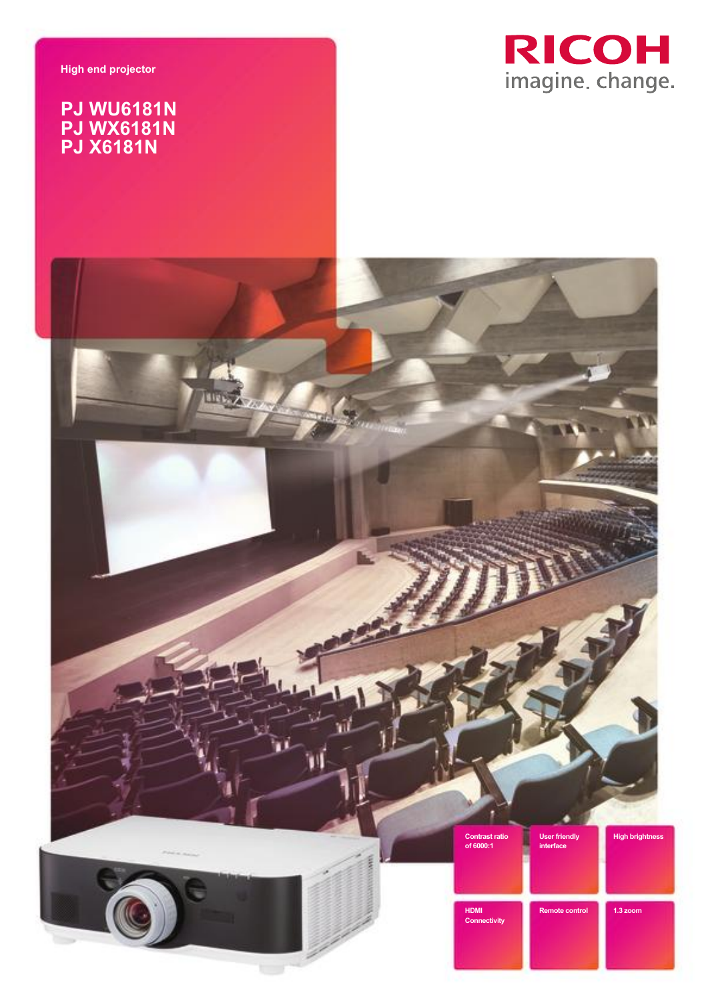**High end projector**

## **PJ WU6181N PJ WX6181N PJ X6181N**



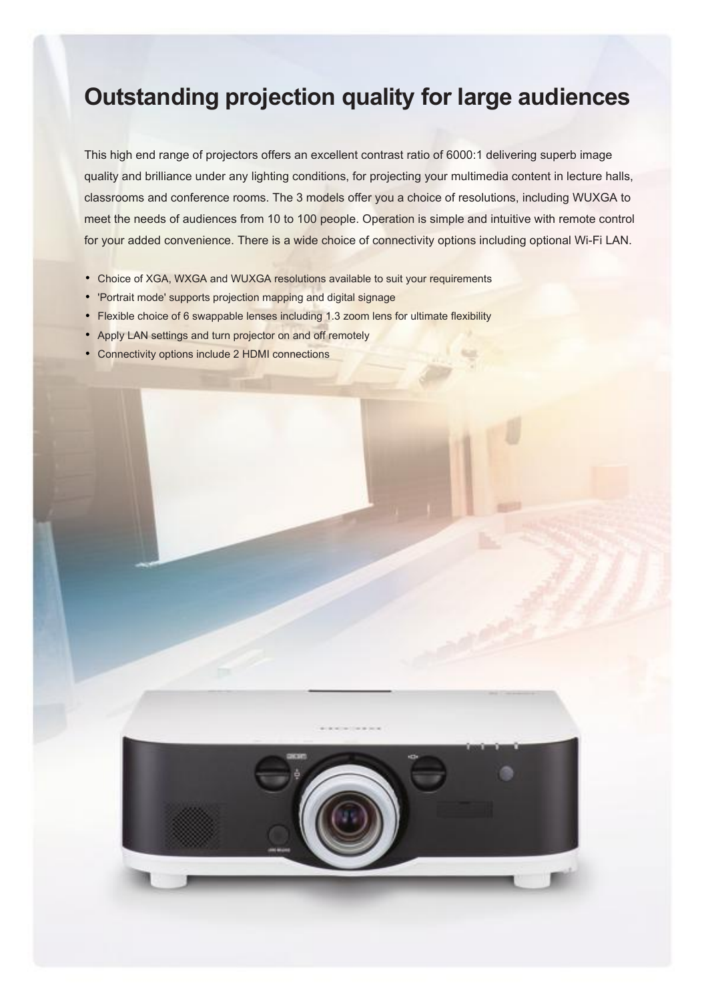## **Outstanding projection quality for large audiences**

This high end range of projectors offers an excellent contrast ratio of 6000:1 delivering superb image quality and brilliance under any lighting conditions, for projecting your multimedia content in lecture halls, classrooms and conference rooms. The 3 models offer you a choice of resolutions, including WUXGA to meet the needs of audiences from 10 to 100 people. Operation is simple and intuitive with remote control for your added convenience. There is a wide choice of connectivity options including optional Wi-Fi LAN.

- Choice of XGA, WXGA and WUXGA resolutions available to suit your requirements
- 'Portrait mode' supports projection mapping and digital signage
- Flexible choice of 6 swappable lenses including 1.3 zoom lens for ultimate flexibility
- Apply LAN settings and turn projector on and off remotely
- Connectivity options include 2 HDMI connections

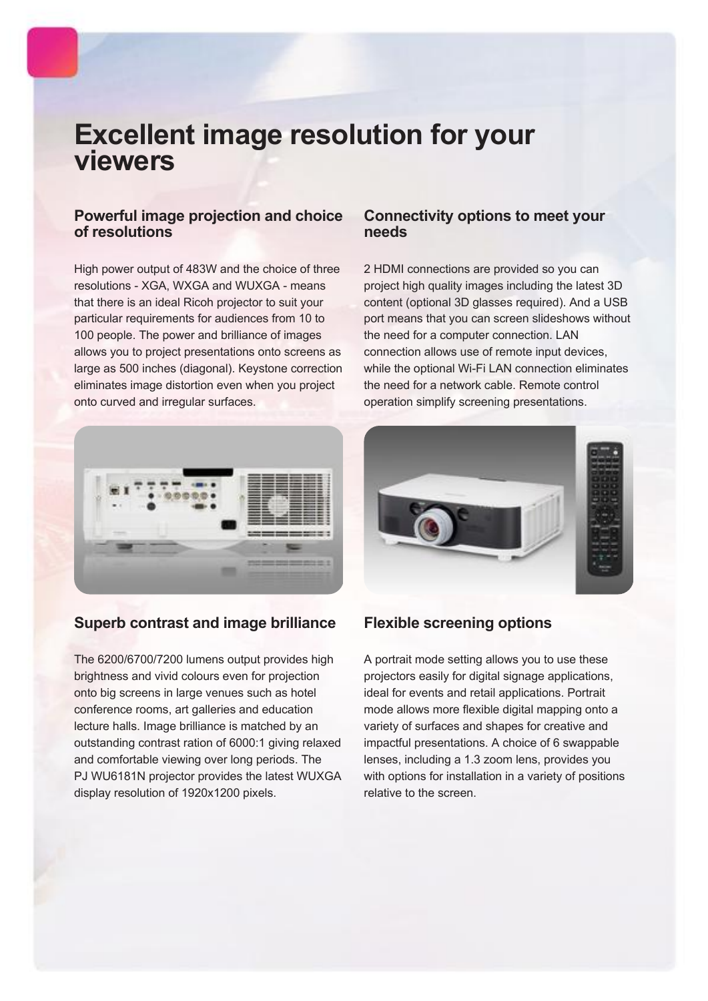# **Excellent image resolution for your viewers**

### **Powerful image projection and choice of resolutions**

High power output of 483W and the choice of three resolutions - XGA, WXGA and WUXGA - means that there is an ideal Ricoh projector to suit your particular requirements for audiences from 10 to 100 people. The power and brilliance of images allows you to project presentations onto screens as large as 500 inches (diagonal). Keystone correction eliminates image distortion even when you project onto curved and irregular surfaces.



### **Superb contrast and image brilliance**

The 6200/6700/7200 lumens output provides high brightness and vivid colours even for projection onto big screens in large venues such as hotel conference rooms, art galleries and education lecture halls. Image brilliance is matched by an outstanding contrast ration of 6000:1 giving relaxed and comfortable viewing over long periods. The PJ WU6181N projector provides the latest WUXGA display resolution of 1920x1200 pixels.

### **Connectivity options to meet your needs**

2 HDMI connections are provided so you can project high quality images including the latest 3D content (optional 3D glasses required). And a USB port means that you can screen slideshows without the need for a computer connection. LAN connection allows use of remote input devices, while the optional Wi-Fi LAN connection eliminates the need for a network cable. Remote control operation simplify screening presentations.



### **Flexible screening options**

A portrait mode setting allows you to use these projectors easily for digital signage applications, ideal for events and retail applications. Portrait mode allows more flexible digital mapping onto a variety of surfaces and shapes for creative and impactful presentations. A choice of 6 swappable lenses, including a 1.3 zoom lens, provides you with options for installation in a variety of positions relative to the screen.